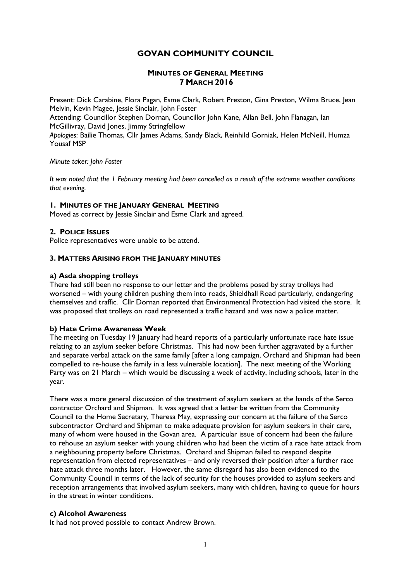# GOVAN COMMUNITY COUNCIL

## MINUTES OF GENERAL MEETING 7 MARCH 2016

Present: Dick Carabine, Flora Pagan, Esme Clark, Robert Preston, Gina Preston, Wilma Bruce, Jean Melvin, Kevin Magee, Jessie SincIair, John Foster Attending: Councillor Stephen Dornan, Councillor John Kane, Allan Bell, John Flanagan, Ian McGillivray, David Jones, Jimmy Stringfellow Apologies: Bailie Thomas, Cllr James Adams, Sandy Black, Reinhild Gorniak, Helen McNeill, Humza Yousaf MSP

### Minute taker: John Foster

It was noted that the 1 February meeting had been cancelled as a result of the extreme weather conditions that evening.

#### 1. MINUTES OF THE JANUARY GENERAL MEETING

Moved as correct by Jessie Sinclair and Esme Clark and agreed.

### 2. POLICE ISSUES

Police representatives were unable to be attend.

#### 3. MATTERS ARISING FROM THE JANUARY MINUTES

### a) Asda shopping trolleys

There had still been no response to our letter and the problems posed by stray trolleys had worsened – with young children pushing them into roads, Shieldhall Road particularly, endangering themselves and traffic. Cllr Dornan reported that Environmental Protection had visited the store. It was proposed that trolleys on road represented a traffic hazard and was now a police matter.

### b) Hate Crime Awareness Week

The meeting on Tuesday 19 January had heard reports of a particularly unfortunate race hate issue relating to an asylum seeker before Christmas. This had now been further aggravated by a further and separate verbal attack on the same family [after a long campaign, Orchard and Shipman had been compelled to re-house the family in a less vulnerable location]. The next meeting of the Working Party was on 21 March – which would be discussing a week of activity, including schools, later in the year.

There was a more general discussion of the treatment of asylum seekers at the hands of the Serco contractor Orchard and Shipman. It was agreed that a letter be written from the Community Council to the Home Secretary, Theresa May, expressing our concern at the failure of the Serco subcontractor Orchard and Shipman to make adequate provision for asylum seekers in their care, many of whom were housed in the Govan area. A particular issue of concern had been the failure to rehouse an asylum seeker with young children who had been the victim of a race hate attack from a neighbouring property before Christmas. Orchard and Shipman failed to respond despite representation from elected representatives – and only reversed their position after a further race hate attack three months later. However, the same disregard has also been evidenced to the Community Council in terms of the lack of security for the houses provided to asylum seekers and reception arrangements that involved asylum seekers, many with children, having to queue for hours in the street in winter conditions.

### c) Alcohol Awareness

It had not proved possible to contact Andrew Brown.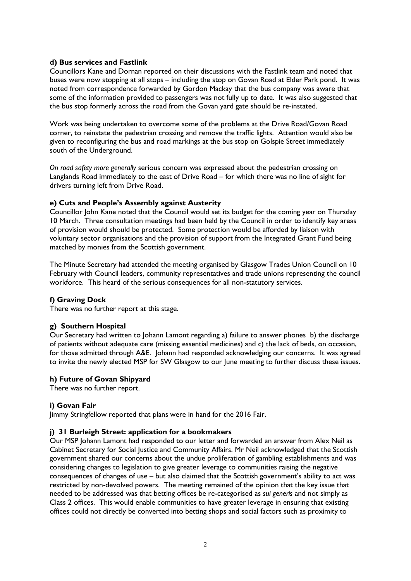## d) Bus services and Fastlink

Councillors Kane and Dornan reported on their discussions with the Fastlink team and noted that buses were now stopping at all stops – including the stop on Govan Road at Elder Park pond. It was noted from correspondence forwarded by Gordon Mackay that the bus company was aware that some of the information provided to passengers was not fully up to date. It was also suggested that the bus stop formerly across the road from the Govan yard gate should be re-instated.

Work was being undertaken to overcome some of the problems at the Drive Road/Govan Road corner, to reinstate the pedestrian crossing and remove the traffic lights. Attention would also be given to reconfiguring the bus and road markings at the bus stop on Golspie Street immediately south of the Underground.

On road safety more generally serious concern was expressed about the pedestrian crossing on Langlands Road immediately to the east of Drive Road – for which there was no line of sight for drivers turning left from Drive Road.

### e) Cuts and People's Assembly against Austerity

Councillor John Kane noted that the Council would set its budget for the coming year on Thursday 10 March. Three consultation meetings had been held by the Council in order to identify key areas of provision would should be protected. Some protection would be afforded by liaison with voluntary sector organisations and the provision of support from the Integrated Grant Fund being matched by monies from the Scottish government.

The Minute Secretary had attended the meeting organised by Glasgow Trades Union Council on 10 February with Council leaders, community representatives and trade unions representing the council workforce. This heard of the serious consequences for all non-statutory services.

### f) Graving Dock

There was no further report at this stage.

### g) Southern Hospital

Our Secretary had written to Johann Lamont regarding a) failure to answer phones b) the discharge of patients without adequate care (missing essential medicines) and c) the lack of beds, on occasion, for those admitted through A&E. Johann had responded acknowledging our concerns. It was agreed to invite the newly elected MSP for SW Glasgow to our lune meeting to further discuss these issues.

### h) Future of Govan Shipyard

There was no further report.

### i) Govan Fair

Jimmy Stringfellow reported that plans were in hand for the 2016 Fair.

### j) 31 Burleigh Street: application for a bookmakers

Our MSP Johann Lamont had responded to our letter and forwarded an answer from Alex Neil as Cabinet Secretary for Social Justice and Community Affairs. Mr Neil acknowledged that the Scottish government shared our concerns about the undue proliferation of gambling establishments and was considering changes to legislation to give greater leverage to communities raising the negative consequences of changes of use – but also claimed that the Scottish government's ability to act was restricted by non-devolved powers. The meeting remained of the opinion that the key issue that needed to be addressed was that betting offices be re-categorised as sui generis and not simply as Class 2 offices. This would enable communities to have greater leverage in ensuring that existing offices could not directly be converted into betting shops and social factors such as proximity to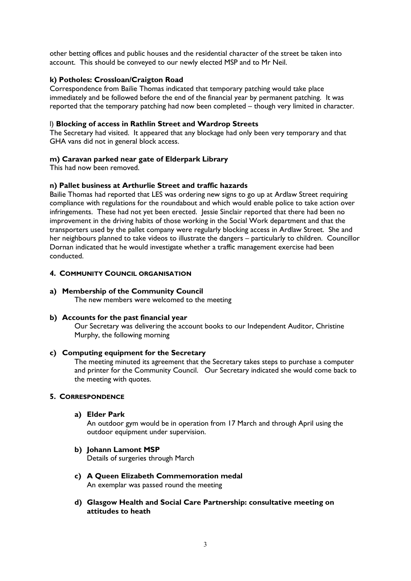other betting offices and public houses and the residential character of the street be taken into account. This should be conveyed to our newly elected MSP and to Mr Neil.

## k) Potholes: Crossloan/Craigton Road

Correspondence from Bailie Thomas indicated that temporary patching would take place immediately and be followed before the end of the financial year by permanent patching. It was reported that the temporary patching had now been completed – though very limited in character.

### l) Blocking of access in Rathlin Street and Wardrop Streets

The Secretary had visited. It appeared that any blockage had only been very temporary and that GHA vans did not in general block access.

## m) Caravan parked near gate of Elderpark Library

This had now been removed.

### n) Pallet business at Arthurlie Street and traffic hazards

Bailie Thomas had reported that LES was ordering new signs to go up at Ardlaw Street requiring compliance with regulations for the roundabout and which would enable police to take action over infringements. These had not yet been erected. Jessie Sinclair reported that there had been no improvement in the driving habits of those working in the Social Work department and that the transporters used by the pallet company were regularly blocking access in Ardlaw Street. She and her neighbours planned to take videos to illustrate the dangers – particularly to children. Councillor Dornan indicated that he would investigate whether a traffic management exercise had been conducted.

## 4. COMMUNITY COUNCIL ORGANISATION

## a) Membership of the Community Council

The new members were welcomed to the meeting

### b) Accounts for the past financial year

Our Secretary was delivering the account books to our Independent Auditor, Christine Murphy, the following morning

## c) Computing equipment for the Secretary

The meeting minuted its agreement that the Secretary takes steps to purchase a computer and printer for the Community Council. Our Secretary indicated she would come back to the meeting with quotes.

## 5. CORRESPONDENCE

a) Elder Park

An outdoor gym would be in operation from 17 March and through April using the outdoor equipment under supervision.

b) Johann Lamont MSP

Details of surgeries through March

- c) A Queen Elizabeth Commemoration medal An exemplar was passed round the meeting
- d) Glasgow Health and Social Care Partnership: consultative meeting on attitudes to heath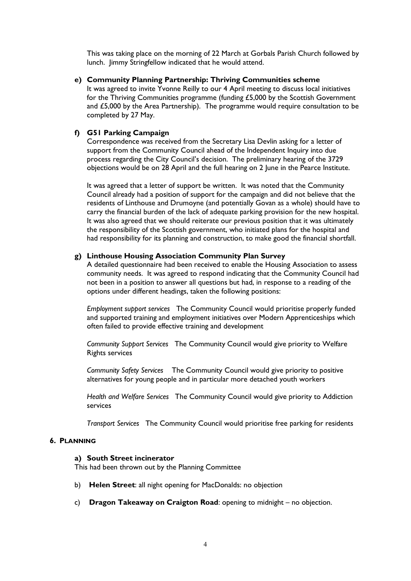This was taking place on the morning of 22 March at Gorbals Parish Church followed by lunch. Jimmy Stringfellow indicated that he would attend.

e) Community Planning Partnership: Thriving Communities scheme

It was agreed to invite Yvonne Reilly to our 4 April meeting to discuss local initiatives for the Thriving Communities programme (funding £5,000 by the Scottish Government and £5,000 by the Area Partnership). The programme would require consultation to be completed by 27 May.

## f) G51 Parking Campaign

Correspondence was received from the Secretary Lisa Devlin asking for a letter of support from the Community Council ahead of the Independent Inquiry into due process regarding the City Council's decision. The preliminary hearing of the 3729 objections would be on 28 April and the full hearing on 2 June in the Pearce Institute.

It was agreed that a letter of support be written. It was noted that the Community Council already had a position of support for the campaign and did not believe that the residents of Linthouse and Drumoyne (and potentially Govan as a whole) should have to carry the financial burden of the lack of adequate parking provision for the new hospital. It was also agreed that we should reiterate our previous position that it was ultimately the responsibility of the Scottish government, who initiated plans for the hospital and had responsibility for its planning and construction, to make good the financial shortfall.

### g) Linthouse Housing Association Community Plan Survey

A detailed questionnaire had been received to enable the Housing Association to assess community needs. It was agreed to respond indicating that the Community Council had not been in a position to answer all questions but had, in response to a reading of the options under different headings, taken the following positions:

Employment support services The Community Council would prioritise properly funded and supported training and employment initiatives over Modern Apprenticeships which often failed to provide effective training and development

Community Support Services The Community Council would give priority to Welfare Rights services

Community Safety Services The Community Council would give priority to positive alternatives for young people and in particular more detached youth workers

Health and Welfare Services The Community Council would give priority to Addiction services

Transport Services The Community Council would prioritise free parking for residents

### 6. PLANNING

#### a) South Street incinerator

This had been thrown out by the Planning Committee

- b) Helen Street: all night opening for MacDonalds: no objection
- c) Dragon Takeaway on Craigton Road: opening to midnight no objection.